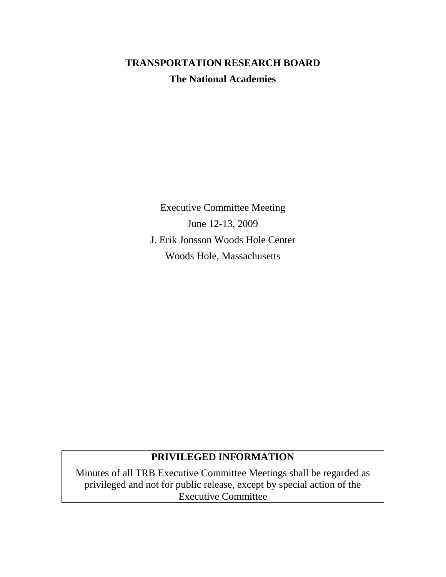# **TRANSPORTATION RESEARCH BOARD The National Academies**

Executive Committee Meeting June 12-13, 2009 J. Erik Jonsson Woods Hole Center Woods Hole, Massachusetts

## **PRIVILEGED INFORMATION**

Minutes of all TRB Executive Committee Meetings shall be regarded as privileged and not for public release, except by special action of the Executive Committee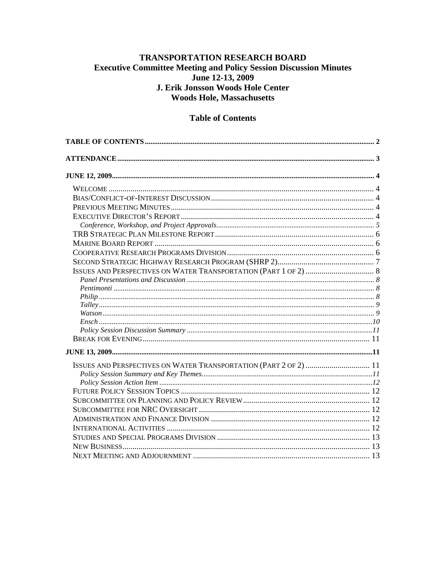## TRANSPORTATION RESEARCH BOARD **Executive Committee Meeting and Policy Session Discussion Minutes** June 12-13, 2009 J. Erik Jonsson Woods Hole Center **Woods Hole, Massachusetts**

## **Table of Contents**

<span id="page-1-0"></span>

| ISSUES AND PERSPECTIVES ON WATER TRANSPORTATION (PART 2 OF 2)  11 |  |
|-------------------------------------------------------------------|--|
|                                                                   |  |
|                                                                   |  |
|                                                                   |  |
|                                                                   |  |
|                                                                   |  |
|                                                                   |  |
|                                                                   |  |
|                                                                   |  |
|                                                                   |  |
|                                                                   |  |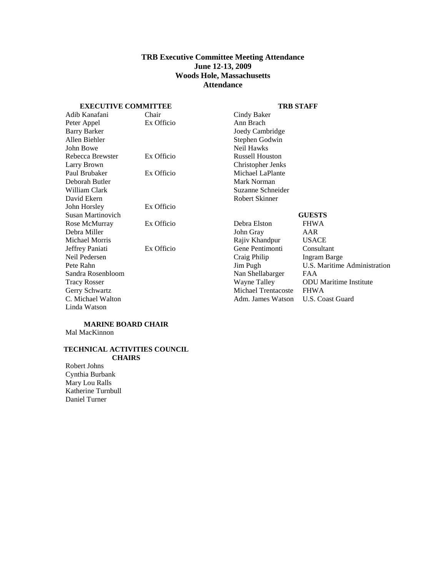## **TRB Executive Committee Meeting Attendance June 12-13, 2009 Woods Hole, Massachusetts Attendance**

#### <span id="page-2-0"></span>**EXECUTIVE COMMITTEE**

#### **TRB STAFF**

| Adib Kanafani       | Chair      | Cindy Baker            |                               |
|---------------------|------------|------------------------|-------------------------------|
| Peter Appel         | Ex Officio | Ann Brach              |                               |
| <b>Barry Barker</b> |            | Joedy Cambridge        |                               |
| Allen Biehler       |            | Stephen Godwin         |                               |
| John Bowe           |            | Neil Hawks             |                               |
| Rebecca Brewster    | Ex Officio | <b>Russell Houston</b> |                               |
| Larry Brown         |            | Christopher Jenks      |                               |
| Paul Brubaker       | Ex Officio | Michael LaPlante       |                               |
| Deborah Butler      |            | Mark Norman            |                               |
| William Clark       |            | Suzanne Schneider      |                               |
| David Ekern         |            | Robert Skinner         |                               |
| John Horsley        | Ex Officio |                        |                               |
| Susan Martinovich   |            |                        | <b>GUESTS</b>                 |
| Rose McMurray       | Ex Officio | Debra Elston           | <b>FHWA</b>                   |
| Debra Miller        |            | John Gray              | AAR                           |
| Michael Morris      |            | Rajiv Khandpur         | <b>USACE</b>                  |
| Jeffrey Paniati     | Ex Officio | Gene Pentimonti        | Consultant                    |
| Neil Pedersen       |            | Craig Philip           | Ingram Barge                  |
| Pete Rahn           |            | Jim Pugh               | U.S. Maritime Administration  |
| Sandra Rosenbloom   |            | Nan Shellabarger       | FAA                           |
| <b>Tracy Rosser</b> |            | Wayne Talley           | <b>ODU</b> Maritime Institute |
| Gerry Schwartz      |            | Michael Trentacoste    | <b>FHWA</b>                   |
| C. Michael Walton   |            | Adm. James Watson      | U.S. Coast Guard              |
| Linda Watson        |            |                        |                               |
|                     |            |                        |                               |

#### **MARINE BOARD CHAIR** Mal MacKinnon

#### **TECHNICAL ACTIVITIES COUNCIL CHAIRS**

Robert Johns Cynthia Burbank Mary Lou Ralls Katherine Turnbull Daniel Turner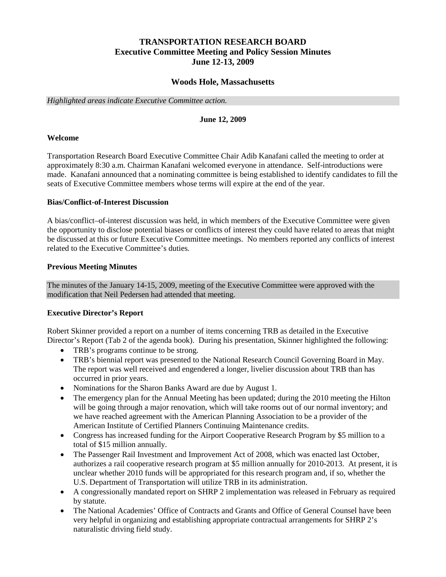## **TRANSPORTATION RESEARCH BOARD Executive Committee Meeting and Policy Session Minutes June 12-13, 2009**

## **Woods Hole, Massachusetts**

<span id="page-3-0"></span>*Highlighted areas indicate Executive Committee action.*

#### **June 12, 2009**

#### <span id="page-3-1"></span>**Welcome**

Transportation Research Board Executive Committee Chair Adib Kanafani called the meeting to order at approximately 8:30 a.m. Chairman Kanafani welcomed everyone in attendance. Self-introductions were made. Kanafani announced that a nominating committee is being established to identify candidates to fill the seats of Executive Committee members whose terms will expire at the end of the year.

## <span id="page-3-2"></span>**Bias/Conflict-of-Interest Discussion**

A bias/conflict–of-interest discussion was held, in which members of the Executive Committee were given the opportunity to disclose potential biases or conflicts of interest they could have related to areas that might be discussed at this or future Executive Committee meetings. No members reported any conflicts of interest related to the Executive Committee's duties.

#### <span id="page-3-3"></span>**Previous Meeting Minutes**

The minutes of the January 14-15, 2009, meeting of the Executive Committee were approved with the modification that Neil Pedersen had attended that meeting.

## <span id="page-3-4"></span>**Executive Director's Report**

Robert Skinner provided a report on a number of items concerning TRB as detailed in the Executive Director's Report (Tab 2 of the agenda book). During his presentation, Skinner highlighted the following:

- TRB's programs continue to be strong.
- TRB's biennial report was presented to the National Research Council Governing Board in May. The report was well received and engendered a longer, livelier discussion about TRB than has occurred in prior years.
- Nominations for the Sharon Banks Award are due by August 1.
- The emergency plan for the Annual Meeting has been updated; during the 2010 meeting the Hilton will be going through a major renovation, which will take rooms out of our normal inventory; and we have reached agreement with the American Planning Association to be a provider of the American Institute of Certified Planners Continuing Maintenance credits.
- Congress has increased funding for the Airport Cooperative Research Program by \$5 million to a total of \$15 million annually.
- The Passenger Rail Investment and Improvement Act of 2008, which was enacted last October, authorizes a rail cooperative research program at \$5 million annually for 2010-2013. At present, it is unclear whether 2010 funds will be appropriated for this research program and, if so, whether the U.S. Department of Transportation will utilize TRB in its administration.
- A congressionally mandated report on SHRP 2 implementation was released in February as required by statute.
- The National Academies' Office of Contracts and Grants and Office of General Counsel have been very helpful in organizing and establishing appropriate contractual arrangements for SHRP 2's naturalistic driving field study.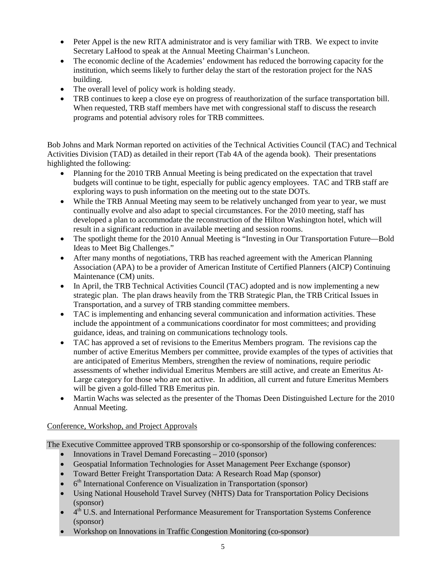- Peter Appel is the new RITA administrator and is very familiar with TRB. We expect to invite Secretary LaHood to speak at the Annual Meeting Chairman's Luncheon.
- The economic decline of the Academies' endowment has reduced the borrowing capacity for the institution, which seems likely to further delay the start of the restoration project for the NAS building.
- The overall level of policy work is holding steady.
- TRB continues to keep a close eye on progress of reauthorization of the surface transportation bill. When requested, TRB staff members have met with congressional staff to discuss the research programs and potential advisory roles for TRB committees.

Bob Johns and Mark Norman reported on activities of the Technical Activities Council (TAC) and Technical Activities Division (TAD) as detailed in their report (Tab 4A of the agenda book). Their presentations highlighted the following:

- Planning for the 2010 TRB Annual Meeting is being predicated on the expectation that travel budgets will continue to be tight, especially for public agency employees. TAC and TRB staff are exploring ways to push information on the meeting out to the state DOTs.
- While the TRB Annual Meeting may seem to be relatively unchanged from year to year, we must continually evolve and also adapt to special circumstances. For the 2010 meeting, staff has developed a plan to accommodate the reconstruction of the Hilton Washington hotel, which will result in a significant reduction in available meeting and session rooms.
- The spotlight theme for the 2010 Annual Meeting is "Investing in Our Transportation Future—Bold Ideas to Meet Big Challenges."
- After many months of negotiations, TRB has reached agreement with the American Planning Association (APA) to be a provider of American Institute of Certified Planners (AICP) Continuing Maintenance (CM) units.
- In April, the TRB Technical Activities Council (TAC) adopted and is now implementing a new strategic plan. The plan draws heavily from the TRB Strategic Plan, the TRB Critical Issues in Transportation, and a survey of TRB standing committee members.
- TAC is implementing and enhancing several communication and information activities. These include the appointment of a communications coordinator for most committees; and providing guidance, ideas, and training on communications technology tools.
- TAC has approved a set of revisions to the Emeritus Members program. The revisions cap the number of active Emeritus Members per committee, provide examples of the types of activities that are anticipated of Emeritus Members, strengthen the review of nominations, require periodic assessments of whether individual Emeritus Members are still active, and create an Emeritus At-Large category for those who are not active. In addition, all current and future Emeritus Members will be given a gold-filled TRB Emeritus pin.
- Martin Wachs was selected as the presenter of the Thomas Deen Distinguished Lecture for the 2010 Annual Meeting.

## <span id="page-4-0"></span>Conference, Workshop, and Project Approvals

The Executive Committee approved TRB sponsorship or co-sponsorship of the following conferences:

- Innovations in Travel Demand Forecasting 2010 (sponsor)
- Geospatial Information Technologies for Asset Management Peer Exchange (sponsor)
- Toward Better Freight Transportation Data: A Research Road Map (sponsor)
- 6<sup>th</sup> International Conference on Visualization in Transportation (sponsor)
- Using National Household Travel Survey (NHTS) Data for Transportation Policy Decisions (sponsor)
- 4th U.S. and International Performance Measurement for Transportation Systems Conference (sponsor)
- Workshop on Innovations in Traffic Congestion Monitoring (co-sponsor)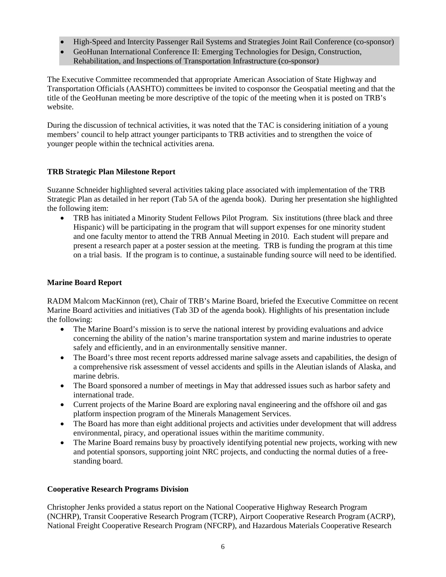- High-Speed and Intercity Passenger Rail Systems and Strategies Joint Rail Conference (co-sponsor)
- GeoHunan International Conference II: Emerging Technologies for Design, Construction, Rehabilitation, and Inspections of Transportation Infrastructure (co-sponsor)

The Executive Committee recommended that appropriate American Association of State Highway and Transportation Officials (AASHTO) committees be invited to cosponsor the Geospatial meeting and that the title of the GeoHunan meeting be more descriptive of the topic of the meeting when it is posted on TRB's website.

During the discussion of technical activities, it was noted that the TAC is considering initiation of a young members' council to help attract younger participants to TRB activities and to strengthen the voice of younger people within the technical activities arena.

## <span id="page-5-0"></span>**TRB Strategic Plan Milestone Report**

Suzanne Schneider highlighted several activities taking place associated with implementation of the TRB Strategic Plan as detailed in her report (Tab 5A of the agenda book). During her presentation she highlighted the following item:

• TRB has initiated a Minority Student Fellows Pilot Program. Six institutions (three black and three Hispanic) will be participating in the program that will support expenses for one minority student and one faculty mentor to attend the TRB Annual Meeting in 2010. Each student will prepare and present a research paper at a poster session at the meeting. TRB is funding the program at this time on a trial basis. If the program is to continue, a sustainable funding source will need to be identified.

## <span id="page-5-1"></span>**Marine Board Report**

RADM Malcom MacKinnon (ret), Chair of TRB's Marine Board, briefed the Executive Committee on recent Marine Board activities and initiatives (Tab 3D of the agenda book). Highlights of his presentation include the following:

- The Marine Board's mission is to serve the national interest by providing evaluations and advice concerning the ability of the nation's marine transportation system and marine industries to operate safely and efficiently, and in an environmentally sensitive manner.
- The Board's three most recent reports addressed marine salvage assets and capabilities, the design of a comprehensive risk assessment of vessel accidents and spills in the Aleutian islands of Alaska, and marine debris.
- The Board sponsored a number of meetings in May that addressed issues such as harbor safety and international trade.
- Current projects of the Marine Board are exploring naval engineering and the offshore oil and gas platform inspection program of the Minerals Management Services.
- The Board has more than eight additional projects and activities under development that will address environmental, piracy, and operational issues within the maritime community.
- The Marine Board remains busy by proactively identifying potential new projects, working with new and potential sponsors, supporting joint NRC projects, and conducting the normal duties of a freestanding board.

## <span id="page-5-2"></span>**Cooperative Research Programs Division**

Christopher Jenks provided a status report on the National Cooperative Highway Research Program (NCHRP), Transit Cooperative Research Program (TCRP), Airport Cooperative Research Program (ACRP), National Freight Cooperative Research Program (NFCRP), and Hazardous Materials Cooperative Research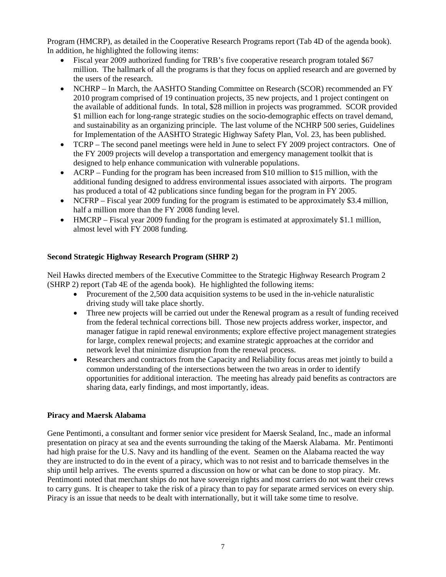Program (HMCRP), as detailed in the Cooperative Research Programs report (Tab 4D of the agenda book). In addition, he highlighted the following items:

- Fiscal year 2009 authorized funding for TRB's five cooperative research program totaled \$67 million. The hallmark of all the programs is that they focus on applied research and are governed by the users of the research.
- NCHRP In March, the AASHTO Standing Committee on Research (SCOR) recommended an FY 2010 program comprised of 19 continuation projects, 35 new projects, and 1 project contingent on the available of additional funds. In total, \$28 million in projects was programmed. SCOR provided \$1 million each for long-range strategic studies on the socio-demographic effects on travel demand, and sustainability as an organizing principle. The last volume of the NCHRP 500 series, Guidelines for Implementation of the AASHTO Strategic Highway Safety Plan, Vol. 23, has been published.
- TCRP The second panel meetings were held in June to select FY 2009 project contractors. One of the FY 2009 projects will develop a transportation and emergency management toolkit that is designed to help enhance communication with vulnerable populations.
- ACRP Funding for the program has been increased from \$10 million to \$15 million, with the additional funding designed to address environmental issues associated with airports. The program has produced a total of 42 publications since funding began for the program in FY 2005.
- NCFRP Fiscal year 2009 funding for the program is estimated to be approximately \$3.4 million, half a million more than the FY 2008 funding level.
- HMCRP Fiscal year 2009 funding for the program is estimated at approximately \$1.1 million, almost level with FY 2008 funding.

## <span id="page-6-0"></span>**Second Strategic Highway Research Program (SHRP 2)**

Neil Hawks directed members of the Executive Committee to the Strategic Highway Research Program 2 (SHRP 2) report (Tab 4E of the agenda book). He highlighted the following items:

- Procurement of the 2.500 data acquisition systems to be used in the in-vehicle naturalistic driving study will take place shortly.
- Three new projects will be carried out under the Renewal program as a result of funding received from the federal technical corrections bill. Those new projects address worker, inspector, and manager fatigue in rapid renewal environments; explore effective project management strategies for large, complex renewal projects; and examine strategic approaches at the corridor and network level that minimize disruption from the renewal process.
- Researchers and contractors from the Capacity and Reliability focus areas met jointly to build a common understanding of the intersections between the two areas in order to identify opportunities for additional interaction. The meeting has already paid benefits as contractors are sharing data, early findings, and most importantly, ideas.

## **Piracy and Maersk Alabama**

Gene Pentimonti, a consultant and former senior vice president for Maersk Sealand, Inc., made an informal presentation on piracy at sea and the events surrounding the taking of the Maersk Alabama. Mr. Pentimonti had high praise for the U.S. Navy and its handling of the event. Seamen on the Alabama reacted the way they are instructed to do in the event of a piracy, which was to not resist and to barricade themselves in the ship until help arrives. The events spurred a discussion on how or what can be done to stop piracy. Mr. Pentimonti noted that merchant ships do not have sovereign rights and most carriers do not want their crews to carry guns. It is cheaper to take the risk of a piracy than to pay for separate armed services on every ship. Piracy is an issue that needs to be dealt with internationally, but it will take some time to resolve.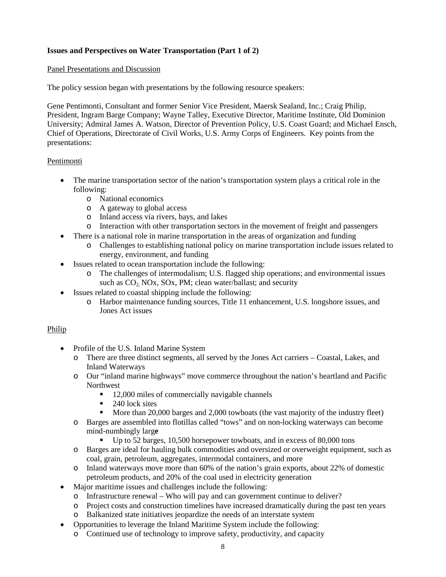## <span id="page-7-0"></span>**Issues and Perspectives on Water Transportation (Part 1 of 2)**

## <span id="page-7-1"></span>Panel Presentations and Discussion

The policy session began with presentations by the following resource speakers:

Gene Pentimonti, Consultant and former Senior Vice President, Maersk Sealand, Inc.; Craig Philip, President, Ingram Barge Company; Wayne Talley, Executive Director, Maritime Institute, Old Dominion University; Admiral James A. Watson, Director of Prevention Policy, U.S. Coast Guard; and Michael Ensch, Chief of Operations, Directorate of Civil Works, U.S. Army Corps of Engineers. Key points from the presentations:

## <span id="page-7-2"></span>Pentimonti

- The marine transportation sector of the nation's transportation system plays a critical role in the following:
	- o National economics
	- o A gateway to global access
	- o Inland access via rivers, bays, and lakes
	- o Interaction with other transportation sectors in the movement of freight and passengers
- There is a national role in marine transportation in the areas of organization and funding
	- o Challenges to establishing national policy on marine transportation include issues related to energy, environment, and funding
- Issues related to ocean transportation include the following:
	- o The challenges of intermodalism; U.S. flagged ship operations; and environmental issues such as  $CO<sub>2</sub>$  NOx, SOx, PM; clean water/ballast; and security
- Issues related to coastal shipping include the following:
	- o Harbor maintenance funding sources, Title 11 enhancement, U.S. longshore issues, and Jones Act issues

## <span id="page-7-3"></span>Philip

- Profile of the U.S. Inland Marine System
	- o There are three distinct segments, all served by the Jones Act carriers Coastal, Lakes, and Inland Waterways
	- o Our "inland marine highways" move commerce throughout the nation's heartland and Pacific Northwest
		- 12,000 miles of commercially navigable channels
		- $\blacksquare$  240 lock sites
		- More than 20,000 barges and 2,000 towboats (the vast majority of the industry fleet)
	- o Barges are assembled into flotillas called "tows" and on non-locking waterways can become mind-numbingly larg**e**
		- Up to 52 barges, 10,500 horsepower towboats, and in excess of 80,000 tons
	- o Barges are ideal for hauling bulk commodities and oversized or overweight equipment, such as coal, grain, petroleum, aggregates, intermodal containers, and more
	- o Inland waterways move more than 60% of the nation's grain exports, about 22% of domestic petroleum products, and 20% of the coal used in electricity generation
- Major maritime issues and challenges include the following:
	- o Infrastructure renewal Who will pay and can government continue to deliver?
	- o Project costs and construction timelines have increased dramatically during the past ten years
	- o Balkanized state initiatives jeopardize the needs of an interstate system
- Opportunities to leverage the Inland Maritime System include the following:
	- o Continued use of technology to improve safety, productivity, and capacity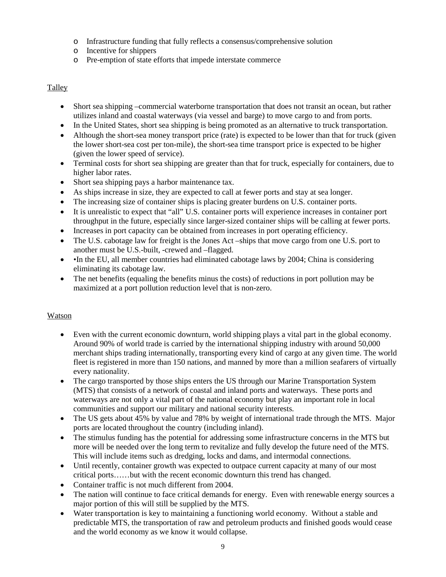- o Infrastructure funding that fully reflects a consensus/comprehensive solution
- o Incentive for shippers
- o Pre-emption of state efforts that impede interstate commerce

## <span id="page-8-0"></span>**Talley**

- Short sea shipping –commercial waterborne transportation that does not transit an ocean, but rather utilizes inland and coastal waterways (via vessel and barge) to move cargo to and from ports.
- In the United States, short sea shipping is being promoted as an alternative to truck transportation.
- Although the short-sea money transport price (rate) is expected to be lower than that for truck (given the lower short-sea cost per ton-mile), the short-sea time transport price is expected to be higher (given the lower speed of service).
- Terminal costs for short sea shipping are greater than that for truck, especially for containers, due to higher labor rates.
- Short sea shipping pays a harbor maintenance tax.
- As ships increase in size, they are expected to call at fewer ports and stay at sea longer.
- The increasing size of container ships is placing greater burdens on U.S. container ports.
- It is unrealistic to expect that "all" U.S. container ports will experience increases in container port throughput in the future, especially since larger-sized container ships will be calling at fewer ports.
- Increases in port capacity can be obtained from increases in port operating efficiency.
- The U.S. cabotage law for freight is the Jones Act –ships that move cargo from one U.S. port to another must be U.S.-built, -crewed and –flagged.
- •In the EU, all member countries had eliminated cabotage laws by 2004; China is considering eliminating its cabotage law.
- The net benefits (equaling the benefits minus the costs) of reductions in port pollution may be maximized at a port pollution reduction level that is non-zero.

## <span id="page-8-1"></span>Watson

- Even with the current economic downturn, world shipping plays a vital part in the global economy. Around 90% of world trade is carried by the international shipping industry with around 50,000 merchant ships trading internationally, transporting every kind of cargo at any given time. The world fleet is registered in more than 150 nations, and manned by more than a million seafarers of virtually every nationality.
- The cargo transported by those ships enters the US through our Marine Transportation System (MTS) that consists of a network of coastal and inland ports and waterways. These ports and waterways are not only a vital part of the national economy but play an important role in local communities and support our military and national security interests.
- The US gets about 45% by value and 78% by weight of international trade through the MTS. Major ports are located throughout the country (including inland).
- The stimulus funding has the potential for addressing some infrastructure concerns in the MTS but more will be needed over the long term to revitalize and fully develop the future need of the MTS. This will include items such as dredging, locks and dams, and intermodal connections.
- Until recently, container growth was expected to outpace current capacity at many of our most critical ports……but with the recent economic downturn this trend has changed.
- Container traffic is not much different from 2004.
- The nation will continue to face critical demands for energy. Even with renewable energy sources a major portion of this will still be supplied by the MTS.
- Water transportation is key to maintaining a functioning world economy. Without a stable and predictable MTS, the transportation of raw and petroleum products and finished goods would cease and the world economy as we know it would collapse.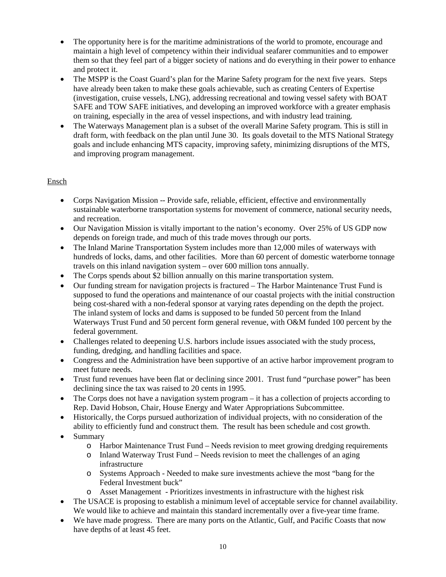- The opportunity here is for the maritime administrations of the world to promote, encourage and maintain a high level of competency within their individual seafarer communities and to empower them so that they feel part of a bigger society of nations and do everything in their power to enhance and protect it.
- The MSPP is the Coast Guard's plan for the Marine Safety program for the next five years. Steps have already been taken to make these goals achievable, such as creating Centers of Expertise (investigation, cruise vessels, LNG), addressing recreational and towing vessel safety with BOAT SAFE and TOW SAFE initiatives, and developing an improved workforce with a greater emphasis on training, especially in the area of vessel inspections, and with industry lead training.
- The Waterways Management plan is a subset of the overall Marine Safety program. This is still in draft form, with feedback on the plan until June 30. Its goals dovetail to the MTS National Strategy goals and include enhancing MTS capacity, improving safety, minimizing disruptions of the MTS, and improving program management.

## <span id="page-9-0"></span>Ensch

- Corps Navigation Mission -- Provide safe, reliable, efficient, effective and environmentally sustainable waterborne transportation systems for movement of commerce, national security needs, and recreation.
- Our Navigation Mission is vitally important to the nation's economy. Over 25% of US GDP now depends on foreign trade, and much of this trade moves through our ports.
- The Inland Marine Transportation System includes more than 12,000 miles of waterways with hundreds of locks, dams, and other facilities. More than 60 percent of domestic waterborne tonnage travels on this inland navigation system – over 600 million tons annually.
- The Corps spends about \$2 billion annually on this marine transportation system.
- Our funding stream for navigation projects is fractured The Harbor Maintenance Trust Fund is supposed to fund the operations and maintenance of our coastal projects with the initial construction being cost-shared with a non-federal sponsor at varying rates depending on the depth the project. The inland system of locks and dams is supposed to be funded 50 percent from the Inland Waterways Trust Fund and 50 percent form general revenue, with O&M funded 100 percent by the federal government.
- Challenges related to deepening U.S. harbors include issues associated with the study process, funding, dredging, and handling facilities and space.
- Congress and the Administration have been supportive of an active harbor improvement program to meet future needs.
- Trust fund revenues have been flat or declining since 2001. Trust fund "purchase power" has been declining since the tax was raised to 20 cents in 1995.
- The Corps does not have a navigation system program it has a collection of projects according to Rep. David Hobson, Chair, House Energy and Water Appropriations Subcommittee.
- Historically, the Corps pursued authorization of individual projects, with no consideration of the ability to efficiently fund and construct them. The result has been schedule and cost growth.
- Summary
	- o Harbor Maintenance Trust Fund Needs revision to meet growing dredging requirements
	- o Inland Waterway Trust Fund Needs revision to meet the challenges of an aging infrastructure
	- o Systems Approach Needed to make sure investments achieve the most "bang for the Federal Investment buck"
	- o Asset Management Prioritizes investments in infrastructure with the highest risk
- The USACE is proposing to establish a minimum level of acceptable service for channel availability. We would like to achieve and maintain this standard incrementally over a five-year time frame.
- We have made progress. There are many ports on the Atlantic, Gulf, and Pacific Coasts that now have depths of at least 45 feet.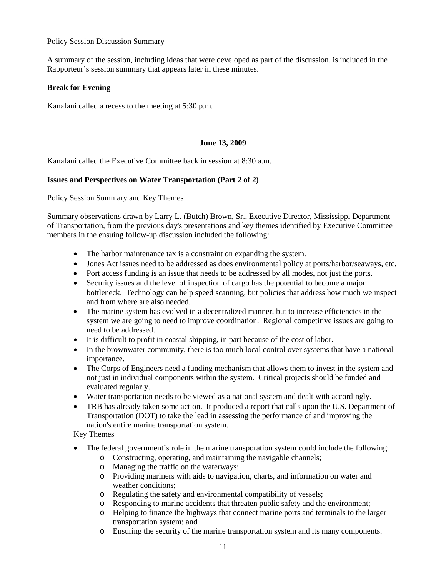#### <span id="page-10-0"></span>Policy Session Discussion Summary

A summary of the session, including ideas that were developed as part of the discussion, is included in the Rapporteur's session summary that appears later in these minutes.

#### <span id="page-10-1"></span>**Break for Evening**

Kanafani called a recess to the meeting at 5:30 p.m.

#### **June 13, 2009**

<span id="page-10-2"></span>Kanafani called the Executive Committee back in session at 8:30 a.m.

#### <span id="page-10-3"></span>**Issues and Perspectives on Water Transportation (Part 2 of 2)**

#### <span id="page-10-4"></span>Policy Session Summary and Key Themes

Summary observations drawn by Larry L. (Butch) Brown, Sr., Executive Director, Mississippi Department of Transportation, from the previous day's presentations and key themes identified by Executive Committee members in the ensuing follow-up discussion included the following:

- The harbor maintenance tax is a constraint on expanding the system.
- Jones Act issues need to be addressed as does environmental policy at ports/harbor/seaways, etc.
- Port access funding is an issue that needs to be addressed by all modes, not just the ports.
- Security issues and the level of inspection of cargo has the potential to become a major bottleneck. Technology can help speed scanning, but policies that address how much we inspect and from where are also needed.
- The marine system has evolved in a decentralized manner, but to increase efficiencies in the system we are going to need to improve coordination. Regional competitive issues are going to need to be addressed.
- It is difficult to profit in coastal shipping, in part because of the cost of labor.
- In the brownwater community, there is too much local control over systems that have a national importance.
- The Corps of Engineers need a funding mechanism that allows them to invest in the system and not just in individual components within the system. Critical projects should be funded and evaluated regularly.
- Water transportation needs to be viewed as a national system and dealt with accordingly.
- TRB has already taken some action. It produced a report that calls upon the U.S. Department of Transportation (DOT) to take the lead in assessing the performance of and improving the nation's entire marine transportation system.

Key Themes

- The federal government's role in the marine transporation system could include the following:
	- o Constructing, operating, and maintaining the navigable channels;
	- o Managing the traffic on the waterways;
	- o Providing mariners with aids to navigation, charts, and information on water and weather conditions;
	- o Regulating the safety and environmental compatibility of vessels;
	- o Responding to marine accidents that threaten public safety and the environment;
	- o Helping to finance the highways that connect marine ports and terminals to the larger transportation system; and
	- o Ensuring the security of the marine transportation system and its many components.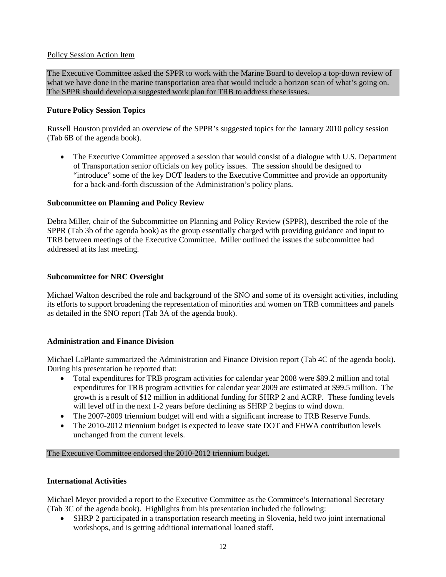## <span id="page-11-0"></span>Policy Session Action Item

The Executive Committee asked the SPPR to work with the Marine Board to develop a top-down review of what we have done in the marine transportation area that would include a horizon scan of what's going on. The SPPR should develop a suggested work plan for TRB to address these issues.

## <span id="page-11-1"></span>**Future Policy Session Topics**

Russell Houston provided an overview of the SPPR's suggested topics for the January 2010 policy session (Tab 6B of the agenda book).

• The Executive Committee approved a session that would consist of a dialogue with U.S. Department of Transportation senior officials on key policy issues. The session should be designed to "introduce" some of the key DOT leaders to the Executive Committee and provide an opportunity for a back-and-forth discussion of the Administration's policy plans.

## <span id="page-11-2"></span>**Subcommittee on Planning and Policy Review**

Debra Miller, chair of the Subcommittee on Planning and Policy Review (SPPR), described the role of the SPPR (Tab 3b of the agenda book) as the group essentially charged with providing guidance and input to TRB between meetings of the Executive Committee. Miller outlined the issues the subcommittee had addressed at its last meeting.

## <span id="page-11-3"></span>**Subcommittee for NRC Oversight**

Michael Walton described the role and background of the SNO and some of its oversight activities, including its efforts to support broadening the representation of minorities and women on TRB committees and panels as detailed in the SNO report (Tab 3A of the agenda book).

## <span id="page-11-4"></span>**Administration and Finance Division**

Michael LaPlante summarized the Administration and Finance Division report (Tab 4C of the agenda book). During his presentation he reported that:

- Total expenditures for TRB program activities for calendar year 2008 were \$89.2 million and total expenditures for TRB program activities for calendar year 2009 are estimated at \$99.5 million. The growth is a result of \$12 million in additional funding for SHRP 2 and ACRP. These funding levels will level off in the next 1-2 years before declining as SHRP 2 begins to wind down.
- The 2007-2009 triennium budget will end with a significant increase to TRB Reserve Funds.
- The 2010-2012 triennium budget is expected to leave state DOT and FHWA contribution levels unchanged from the current levels.

## The Executive Committee endorsed the 2010-2012 triennium budget.

## <span id="page-11-5"></span>**International Activities**

Michael Meyer provided a report to the Executive Committee as the Committee's International Secretary (Tab 3C of the agenda book). Highlights from his presentation included the following:

• SHRP 2 participated in a transportation research meeting in Slovenia, held two joint international workshops, and is getting additional international loaned staff.